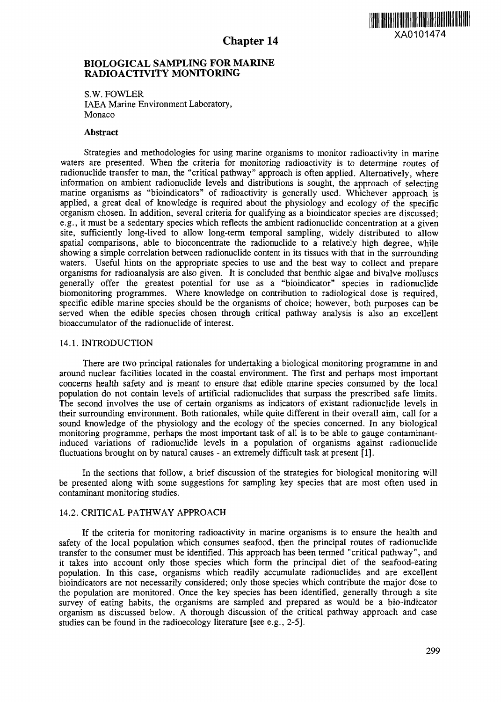

# BIOLOGICAL SAMPLING FOR MARINE RADIOACTIVITY MONITORING

S.W. FOWLER IAEA Marine Environment Laboratory, Monaco

### Abstract

Strategies and methodologies for using marine organisms to monitor radioactivity in marine waters are presented. When the criteria for monitoring radioactivity is to determine routes of radionuclide transfer to man, the "critical pathway" approach is often applied. Alternatively, where information on ambient radionuclide levels and distributions is sought, the approach of selecting marine organisms as "bioindicators" of radioactivity is generally used. Whichever approach is applied, a great deal of knowledge is required about the physiology and ecology of the specific organism chosen. In addition, several criteria for qualifying as a bioindicator species are discussed; e.g., it must be a sedentary species which reflects the ambient radionuclide concentration at a given site, sufficiently long-lived to allow long-term temporal sampling, widely distributed to allow spatial comparisons, able to bioconcentrate the radionuclide to a relatively high degree, while showing a simple correlation between radionuclide content in its tissues with that in the surrounding waters. Useful hints on the appropriate species to use and the best way to collect and prepare organisms for radioanalysis are also given. It is concluded that benthic algae and bivalve molluscs generally offer the greatest potential for use as a "bioindicator" species in radionuclide biomonitoring programmes. Where knowledge on contribution to radiological dose is required, specific edible marine species should be the organisms of choice; however, both purposes can be served when the edible species chosen through critical pathway analysis is also an excellent bioaccumulator of the radionuclide of interest.

### 14.1. INTRODUCTION

There are two principal rationales for undertaking a biological monitoring programme in and around nuclear facilities located in the coastal environment. The first and perhaps most important concerns health safety and is meant to ensure that edible marine species consumed by the local population do not contain levels of artificial radionuclides that surpass the prescribed safe limits. The second involves the use of certain organisms as indicators of existant radionuclide levels in their surrounding environment. Both rationales, while quite different in their overall aim, call for a sound knowledge of the physiology and the ecology of the species concerned. In any biological monitoring programme, perhaps the most important task of all is to be able to gauge contaminantinduced variations of radionuclide levels in a population of organisms against radionuclide fluctuations brought on by natural causes - an extremely difficult task at present [1].

In the sections that follow, a brief discussion of the strategies for biological monitoring will be presented along with some suggestions for sampling key species that are most often used in contaminant monitoring studies.

### 14.2. CRITICAL PATHWAY APPROACH

If the criteria for monitoring radioactivity in marine organisms is to ensure the health and safety of the local population which consumes seafood, then the principal routes of radionuclide transfer to the consumer must be identified. This approach has been termed "critical pathway", and it takes into account only those species which form the principal diet of the seafood-eating population. In this case, organisms which readily accumulate radionuclides and are excellent bioindicators are not necessarily considered; only those species which contribute the major dose to the population are monitored. Once the key species has been identified, generally through a site survey of eating habits, the organisms are sampled and prepared as would be a bio-indicator organism as discussed below. A thorough discussion of the critical pathway approach and case studies can be found in the radioecology literature [see e.g., 2-5].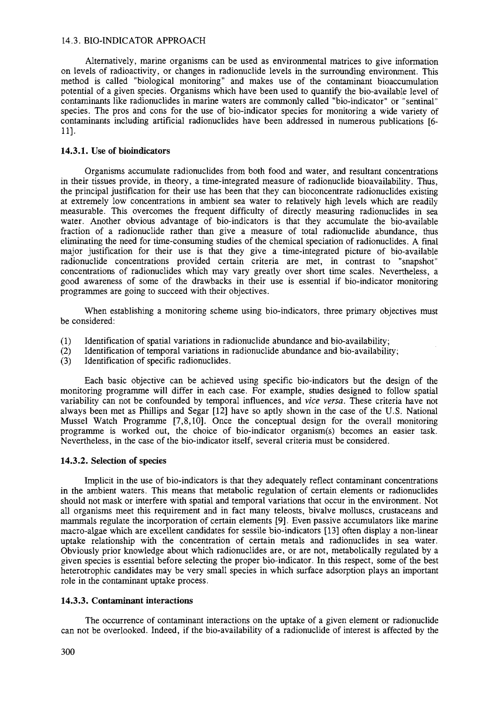# 14.3. BIO-INDICATOR APPROACH

Alternatively, marine organisms can be used as environmental matrices to give information on levels of radioactivity, or changes in radionuclide levels in the surrounding environment. This method is called "biological monitoring" and makes use of the contaminant bioaccumulation potential of a given species. Organisms which have been used to quantify the bio-available level of contaminants like radionuclides in marine waters are commonly called "bio-indicator" or "sentinal" species. The pros and cons for the use of bio-indicator species for monitoring a wide variety of contaminants including artificial radionuclides have been addressed in numerous publications [6- 11].

# **14.3.1. Use of bioindicators**

Organisms accumulate radionuclides from both food and water, and resultant concentrations in their tissues provide, in theory, a time-integrated measure of radionuclide bioavailability. Thus, the principal justification for their use has been that they can bioconcentrate radionuclides existing at extremely low concentrations in ambient sea water to relatively high levels which are readily measurable. This overcomes the frequent difficulty of directly measuring radionuclides in sea water. Another obvious advantage of bio-indicators is that they accumulate the bio-available fraction of a radionuclide rather than give a measure of total radionuclide abundance, thus eliminating the need for time-consuming studies of the chemical speciation of radionuclides. A final major justification for their use is that they give a time-integrated picture of bio-available radionuclide concentrations provided certain criteria are met, in contrast to "snapshot" concentrations of radionuclides which may vary greatly over short time scales. Nevertheless, a good awareness of some of the drawbacks in their use is essential if bio-indicator monitoring programmes are going to succeed with their objectives.

When establishing a monitoring scheme using bio-indicators, three primary objectives must be considered:

- (1) Identification of spatial variations in radionuclide abundance and bio-availability;
- (2) Identification of temporal variations in radionuclide abundance and bio-availability;
- (3) Identification of specific radionuclides.

Each basic objective can be achieved using specific bio-indicators but the design of the monitoring programme will differ in each case. For example, studies designed to follow spatial variability can not be confounded by temporal influences, and *vice versa.* These criteria have not always been met as Phillips and Segar [12] have so aptly shown in the case of the U.S. National Mussel Watch Programme [7,8,10]. Once the conceptual design for the overall monitoring programme is worked out, the choice of bio-indicator organism(s) becomes an easier task. Nevertheless, in the case of the bio-indicator itself, several criteria must be considered.

#### **14.3.2. Selection of species**

Implicit in the use of bio-indicators is that they adequately reflect contaminant concentrations in the ambient waters. This means that metabolic regulation of certain elements or radionuclides should not mask or interfere with spatial and temporal variations that occur in the environment. Not all organisms meet this requirement and in fact many teleosts, bivalve molluscs, crustaceans and mammals regulate the incorporation of certain elements [9]. Even passive accumulators like marine macro-algae which are excellent candidates for sessile bio-indicators [13] often display a non-linear uptake relationship with the concentration of certain metals and radionuclides in sea water. Obviously prior knowledge about which radionuclides are, or are not, metabolically regulated by a given species is essential before selecting the proper bio-indicator. In this respect, some of the best heterotrophic candidates may be very small species in which surface adsorption plays an important role in the contaminant uptake process.

### **14.3.3. Contaminant interactions**

The occurrence of contaminant interactions on the uptake of a given element or radionuclide can not be overlooked. Indeed, if the bio-availability of a radionuclide of interest is affected by the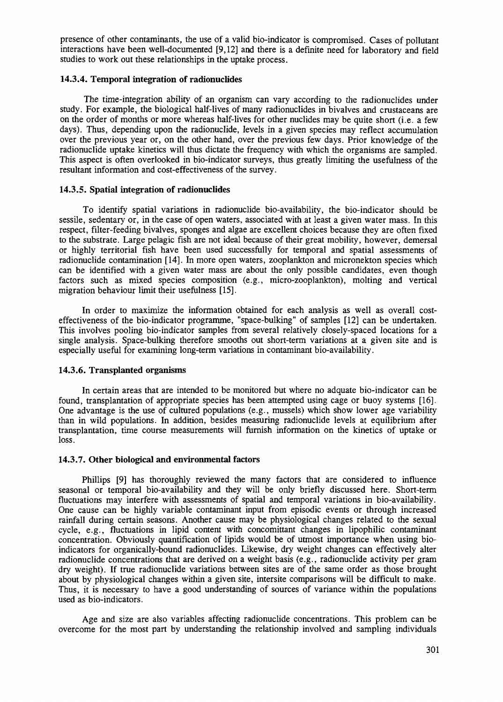presence of other contaminants, the use of a valid bio-indicator is compromised. Cases of pollutant interactions have been well-documented [9,12] and there is a definite need for laboratory and field studies to work out these relationships in the uptake process.

# **14.3.4. Temporal integration of radionuclides**

The time-integration ability of an organism can vary according to the radionuclides under study. For example, the biological half-lives of many radionuclides in bivalves and crustaceans are on the order of months or more whereas half-lives for other nuclides may be quite short (i.e. a few days). Thus, depending upon the radionuclide, levels in a given species may reflect accumulation over the previous year or, on the other hand, over the previous few days. Prior knowledge of the radionuclide uptake kinetics will thus dictate the frequency with which the organisms are sampled. This aspect is often overlooked in bio-indicator surveys, thus greatly limiting the usefulness of the resultant information and cost-effectiveness of the survey.

# **14.3.5. Spatial integration of radionuclides**

To identify spatial variations in radionuclide bio-availability, the bio-indicator should be sessile, sedentary or, in the case of open waters, associated with at least a given water mass. In this respect, filter-feeding bivalves, sponges and algae are excellent choices because they are often fixed to the substrate. Large pelagic fish are not ideal because of their great mobility, however, demersal or highly territorial fish have been used successfully for temporal and spatial assessments of radionuclide contamination [14]. In more open waters, zooplankton and micronekton species which can be identified with a given water mass are about the only possible candidates, even though factors such as mixed species composition (e.g., micro-zooplankton), molting and vertical migration behaviour limit their usefulness [15].

In order to maximize the information obtained for each analysis as well as overall costeffectiveness of the bio-indicator programme, "space-bulking" of samples [12] can be undertaken. This involves pooling bio-indicator samples from several relatively closely-spaced locations for a single analysis. Space-bulking therefore smooths out short-term variations at a given site and is especially useful for examining long-term variations in contaminant bio-availability.

### **14.3.6. Transplanted organisms**

In certain areas that are intended to be monitored but where no adquate bio-indicator can be found, transplantation of appropriate species has been attempted using cage or buoy systems [16]. One advantage is the use of cultured populations (e.g., mussels) which show lower age variability than in wild populations. In addition, besides measuring radionuclide levels at equilibrium after transplantation, time course measurements will furnish information on the kinetics of uptake or loss.

### **14.3.7. Other biological and environmental factors**

Phillips [9] has thoroughly reviewed the many factors that are considered to influence seasonal or temporal bio-availability and they will be only briefly discussed here. Short-term fluctuations may interfere with assessments of spatial and temporal variations in bio-availability. One cause can be highly variable contaminant input from episodic events or through increased rainfall during certain seasons. Another cause may be physiological changes related to the sexual cycle, e.g., fluctuations in lipid content with concomittant changes in lipophilic contaminant concentration. Obviously quantification of lipids would be of utmost importance when using bioindicators for organically-bound radionuclides. Likewise, dry weight changes can effectively alter radionuclide concentrations that are derived on a weight basis (e.g., radionuclide activity per gram dry weight). If true radionuclide variations between sites are of the same order as those brought about by physiological changes within a given site, intersite comparisons will be difficult to make. Thus, it is necessary to have a good understanding of sources of variance within the populations used as bio-indicators.

Age and size are also variables affecting radionuclide concentrations. This problem can be overcome for the most part by understanding the relationship involved and sampling individuals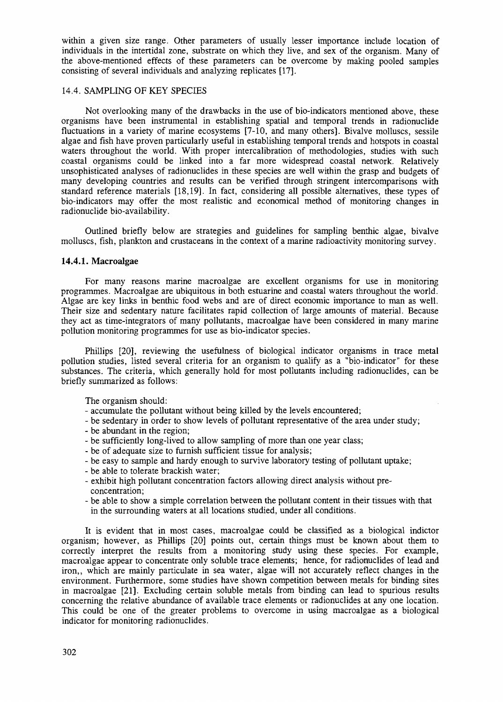within a given size range. Other parameters of usually lesser importance include location of individuals in the intertidal zone, substrate on which they live, and sex of the organism. Many of the above-mentioned effects of these parameters can be overcome by making pooled samples consisting of several individuals and analyzing replicates [17].

### 14.4. SAMPLING OF KEY SPECIES

Not overlooking many of the drawbacks in the use of bio-indicators mentioned above, these organisms have been instrumental in establishing spatial and temporal trends in radionuclide fluctuations in a variety of marine ecosystems [7-10, and many others]. Bivalve molluscs, sessile algae and fish have proven particularly useful in establishing temporal trends and hotspots in coastal waters throughout the world. With proper intercalibration of methodologies, studies with such coastal organisms could be linked into a far more widespread coastal network. Relatively unsophisticated analyses of radionuclides in these species are well within the grasp and budgets of many developing countries and results can be verified through stringent intercomparisons with standard reference materials [18,19]. In fact, considering all possible alternatives, these types of bio-indicators may offer the most realistic and economical method of monitoring changes in radionuclide bio-availability.

Outlined briefly below are strategies and guidelines for sampling benthic algae, bivalve molluscs, fish, plankton and crustaceans in the context of a marine radioactivity monitoring survey.

### 14.4.1. Macroalgae

For many reasons marine macroalgae are excellent organisms for use in monitoring programmes. Macroalgae are ubiquitous in both estuarine and coastal waters throughout the world. Algae are key links in benthic food webs and are of direct economic importance to man as well. Their size and sedentary nature facilitates rapid collection of large amounts of material. Because they act as time-integrators of many pollutants, macroalgae have been considered in many marine pollution monitoring programmes for use as bio-indicator species.

Phillips [20], reviewing the usefulness of biological indicator organisms in trace metal pollution studies, listed several criteria for an organism to qualify as a "bio-indicator" for these substances. The criteria, which generally hold for most pollutants including radionuclides, can be briefly summarized as follows:

The organism should:

- accumulate the pollutant without being killed by the levels encountered;
- be sedentary in order to show levels of pollutant representative of the area under study;
- be abundant in the region;
- be sufficiently long-lived to allow sampling of more than one year class;
- be of adequate size to furnish sufficient tissue for analysis;
- be easy to sample and hardy enough to survive laboratory testing of pollutant uptake;
- be able to tolerate brackish water;
- exhibit high pollutant concentration factors allowing direct analysis without preconcentration;
- be able to show a simple correlation between the pollutant content in their tissues with that in the surrounding waters at all locations studied, under all conditions.

It is evident that in most cases, macroalgae could be classified as a biological indictor organism; however, as Phillips [20] points out, certain things must be known about them to correctly interpret the results from a monitoring study using these species. For example, macroalgae appear to concentrate only soluble trace elements; hence, for radionuclides of lead and iron,, which are mainly particulate in sea water, algae will not accurately reflect changes in the environment. Furthermore, some studies have shown competition between metals for binding sites in macroalgae [21]. Excluding certain soluble metals from binding can lead to spurious results concerning the relative abundance of available trace elements or radionuclides at any one location. This could be one of the greater problems to overcome in using macroalgae as a biological indicator for monitoring radionuclides.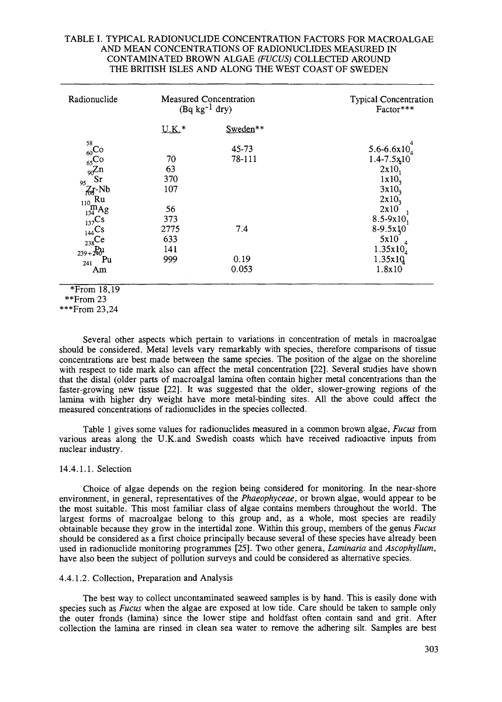# TABLE I. TYPICAL RADIONUCLIDE CONCENTRATION FACTORS FOR MACROALGAE AND MEAN CONCENTRATIONS OF RADIONUCLIDES MEASURED IN CONTAMINATED BROWN ALGAE *(FUCUS)* COLLECTED AROUND THE BRITISH ISLES AND ALONG THE WEST COAST OF SWEDEN

| Radionuclide                                                                                                                                                                                                                              | <b>Measured Concentration</b><br>$(Bq kg^{-1}$ dry) |                      | <b>Typical Concentration</b><br>Factor***                                                                                             |
|-------------------------------------------------------------------------------------------------------------------------------------------------------------------------------------------------------------------------------------------|-----------------------------------------------------|----------------------|---------------------------------------------------------------------------------------------------------------------------------------|
|                                                                                                                                                                                                                                           | $U.K.*$                                             | Sweden**             |                                                                                                                                       |
| 58<br>60 <sup>°</sup><br>$_{65}Co$<br>$\int_{90}^{\infty} Zn$<br>$\sum_{i=1}^{n}$<br>95<br>$Z_f-Nb$<br>$\begin{array}{c}\n\overrightarrow{110} \text{Ru} \\ \overrightarrow{m} \text{Ag} \\ \overrightarrow{134} \end{array}$<br>$1372$ S | 70<br>63<br>370<br>107<br>56<br>373                 | 45-73<br>78-111      | 5.6-6.6x10 $_4$<br>$1.4 - 7.5x + 10$<br>2x10<br>1x10 <sub>3</sub><br>3x10 <sub>3</sub><br>$2x10$ <sub>3</sub><br>2x10<br>$8.5 - 9x10$ |
| $_{144}Cs$<br>$_{238}$ Ce<br>$239 + 240^{\circ}$<br>Pu<br>241<br>Am                                                                                                                                                                       | 2775<br>633<br>141<br>999                           | 7.4<br>0.19<br>0.053 | $8-9.5x10$<br>5x10<br>$\overline{a}$<br>$1.35x10_4$<br>1.35x10<br>1.8x10                                                              |

 $*$ From 18.19

Several other aspects which pertain to variations in concentration of metals in macroalgae should be considered. Metal levels vary remarkably with species, therefore comparisons of tissue concentrations are best made between the same species. The position of the algae on the shoreline with respect to tide mark also can affect the metal concentration [22]. Several studies have shown that the distal (older parts of macroalgal lamina often contain higher metal concentrations than the faster-growing new tissue [22]. It was suggested that the older, slower-growing regions of the lamina with higher dry weight have more metal-binding sites. All the above could affect the measured concentrations of radionuclides in the species collected.

Table 1 gives some values for radionuclides measured in a common brown algae, *Fucus* from various areas along the U.K.and Swedish coasts which have received radioactive inputs from nuclear industry.

# 14.4.1.1. Selection

Choice of algae depends on the region being considered for monitoring. In the near-shore environment, in general, representatives of the *Phaeophyceae,* or brown algae, would appear to be the most suitable. This most familiar class of algae contains members throughout the world. The largest forms of macroalgae belong to this group and, as a whole, most species are readily obtainable because they grow in the intertidal zone. Within this group, members of the genus *Fucus* should be considered as a first choice principally because several of these species have already been used in radionuclide monitoring programmes [25]. Two other genera, *Laminaria* and *Ascophyllum,* have also been the subject of pollution surveys and could be considered as alternative species.

# 4.4.1.2. Collection, Preparation and Analysis

The best way to collect uncontaminated seaweed samples is by hand. This is easily done with species such as *Fucus* when the algae are exposed at low tide. Care should be taken to sample only the outer fronds (lamina) since the lower stipe and holdfast often contain sand and grit. After collection the lamina are rinsed in clean sea water to remove the adhering silt. Samples are best

<sup>\*\*</sup>From 23

<sup>\*\*\*</sup>From 23,24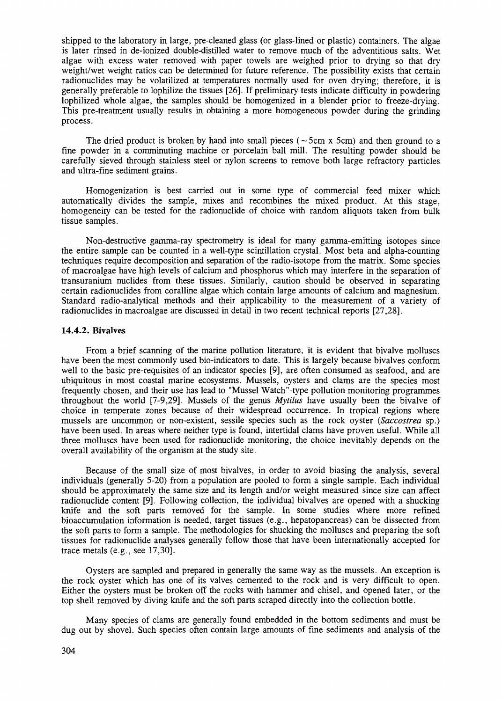shipped to the laboratory in large, pre-cleaned glass (or glass-lined or plastic) containers. The algae is later rinsed in de-ionized double-distilled water to remove much of the adventitious salts. Wet algae with excess water removed with paper towels are weighed prior to drying so that dry weight/wet weight ratios can be determined for future reference. The possibility exists that certain radionuclides may be volatilized at temperatures normally used for oven drying; therefore, it is generally preferable to lophilize the tissues [26]. If preliminary tests indicate difficulty in powdering lophilized whole algae, the samples should be homogenized in a blender prior to freeze-drying. This pre-treatment usually results in obtaining a more homogeneous powder during the grinding process.

The dried product is broken by hand into small pieces ( $\sim$  5cm x 5cm) and then ground to a fine powder in a comminuting machine or porcelain ball mill. The resulting powder should be carefully sieved through stainless steel or nylon screens to remove both large refractory particles and ultra-fine sediment grains.

Homogenization is best carried out in some type of commercial feed mixer which automatically divides the sample, mixes and recombines the mixed product. At this stage, homogeneity can be tested for the radionuclide of choice with random aliquots taken from bulk tissue samples.

Non-destructive gamma-ray spectrometry is ideal for many gamma-emitting isotopes since the entire sample can be counted in a well-type scintillation crystal. Most beta and alpha-counting techniques require decomposition and separation of the radio-isotope from the matrix. Some species of macroalgae have high levels of calcium and phosphorus which may interfere in the separation of transuranium nuclides from these tissues. Similarly, caution should be observed in separating certain radionuclides from coralline algae which contain large amounts of calcium and magnesium. Standard radio-analytical methods and their applicability to the measurement of a variety of radionuclides in macroalgae are discussed in detail in two recent technical reports [27,28].

#### 14.4.2. Bivalves

From a brief scanning of the marine pollution literature, it is evident that bivalve molluscs have been the most commonly used bio-indicators to date. This is largely because bivalves conform well to the basic pre-requisites of an indicator species [9], are often consumed as seafood, and are ubiquitous in most coastal marine ecosystems. Mussels, oysters and clams are the species most frequently chosen, and their use has lead to "Mussel Watch"-type pollution monitoring programmes throughout the world [7-9,29]. Mussels of the genus *Mytilus* have usually been the bivalve of choice in temperate zones because of their widespread occurrence. In tropical regions where mussels are uncommon or non-existent, sessile species such as the rock oyster *(Saccostrea* sp.) have been used. In areas where neither type is found, intertidal clams have proven useful. While all three molluscs have been used for radionuclide monitoring, the choice inevitably depends on the overall availability of the organism at the study site.

Because of the small size of most bivalves, in order to avoid biasing the analysis, several individuals (generally 5-20) from a population are pooled to form a single sample. Each individual should be approximately the same size and its length and/or weight measured since size can affect radionuclide content [9], Following collection, the individual bivalves are opened with a shucking knife and the soft parts removed for the sample. In some studies where more refined bioaccumulation information is needed, target tissues (e.g., hepatopancreas) can be dissected from the soft parts to form a sample. The methodologies for shucking the molluscs and preparing the soft tissues for radionuclide analyses generally follow those that have been internationally accepted for trace metals (e.g., see 17,30].

Oysters are sampled and prepared in generally the same way as the mussels. An exception is the rock oyster which has one of its valves cemented to the rock and is very difficult to open. Either the oysters must be broken off the rocks with hammer and chisel, and opened later, or the top shell removed by diving knife and the soft parts scraped directly into the collection bottle.

Many species of clams are generally found embedded in the bottom sediments and must be dug out by shovel. Such species often contain large amounts of fine sediments and analysis of the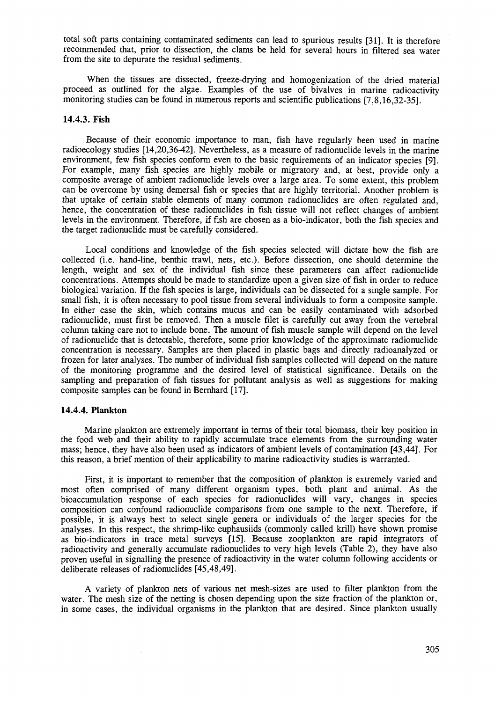total soft parts containing contaminated sediments can lead to spurious results [31]. It is therefore recommended that, prior to dissection, the clams be held for several hours in filtered sea water from the site to depurate the residual sediments.

When the tissues are dissected, freeze-drying and homogenization of the dried material proceed as outlined for the algae. Examples of the use of bivalves in marine radioactivity monitoring studies can be found in numerous reports and scientific publications [7,8,16,32-35].

### **14.4.3. Fish**

Because of their economic importance to man, fish have regularly been used in marine radioecology studies [14,20,36-42]. Nevertheless, as a measure of radionuclide levels in the marine environment, few fish species conform even to the basic requirements of an indicator species [9]. For example, many fish species are highly mobile or migratory and, at best, provide only a composite average of ambient radionuclide levels over a large area. To some extent, this problem can be overcome by using demersal fish or species that are highly territorial. Another problem is that uptake of certain stable elements of many common radionuclides are often regulated and, hence, the concentration of these radionuclides in fish tissue will not reflect changes of ambient levels in the environment. Therefore, if fish are chosen as a bio-indicator, both the fish species and the target radionuclide must be carefully considered.

Local conditions and knowledge of the fish species selected will dictate how the fish are collected (i.e. hand-line, benthic trawl, nets, etc.). Before dissection, one should determine the length, weight and sex of the individual fish since these parameters can affect radionuclide concentrations. Attempts should be made to standardize upon a given size of fish in order to reduce biological variation. If the fish species is large, individuals can be dissected for a single sample. For small fish, it is often necessary to pool tissue from several individuals to form a composite sample. In either case the skin, which contains mucus and can be easily contaminated with adsorbed radionuclide, must first be removed. Then a muscle filet is carefully cut away from the vertebral column taking care not to include bone. The amount of fish muscle sample will depend on the level of radionuclide that is detectable, therefore, some prior knowledge of the approximate radionuclide concentration is necessary. Samples are then placed in plastic bags and directly radioanalyzed or frozen for later analyses. The number of individual fish samples collected will depend on the nature of the monitoring programme and the desired level of statistical significance. Details on the sampling and preparation of fish tissues for pollutant analysis as well as suggestions for making composite samples can be found in Bernhard [17].

# **14.4.4. Plankton**

Marine plankton are extremely important in terms of their total biomass, their key position in the food web and their ability to rapidly accumulate trace elements from the surrounding water mass; hence, they have also been used as indicators of ambient levels of contamination [43,44]. For this reason, a brief mention of their applicability to marine radioactivity studies is warranted.

First, it is important to remember that the composition of plankton is extremely varied and most often comprised of many different organism types, both plant and animal. As the bioaccumulation response of each species for radionuclides will vary, changes in species composition can confound radionuclide comparisons from one sample to the next. Therefore, if possible, it is always best to select single genera or individuals of the larger species for the analyses. In this respect, the shrimp-like euphausiids (commonly called krill) have shown promise as bio-indicators in trace metal surveys [15]. Because zooplankton are rapid integrators of radioactivity and generally accumulate radionuclides to very high levels (Table 2), they have also proven useful in signalling the presence of radioactivity in the water column following accidents or deliberate releases of radionuclides [45,48,49].

A variety of plankton nets of various net mesh-sizes are used to filter plankton from the water. The mesh size of the netting is chosen depending upon the size fraction of the plankton or, in some cases, the individual organisms in the plankton that are desired. Since plankton usually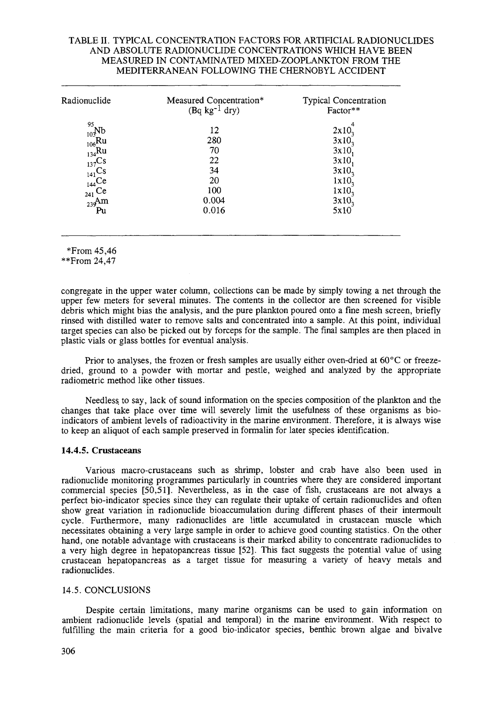# TABLE II. TYPICAL CONCENTRATION FACTORS FOR ARTIFICIAL RADIONUCLIDES AND ABSOLUTE RADIONUCLIDE CONCENTRATIONS WHICH HAVE BEEN MEASURED IN CONTAMINATED MIXED-ZOOPLANKTON FROM THE MEDITERRANEAN FOLLOWING THE CHERNOBYL ACCIDENT

| Radionuclide                                                                                                                   | Measured Concentration*<br>$(Bq kg^{-1} dry)$              | <b>Typical Concentration</b><br>Factor**                                                                              |
|--------------------------------------------------------------------------------------------------------------------------------|------------------------------------------------------------|-----------------------------------------------------------------------------------------------------------------------|
| -95<br>$_{10}$ Nb<br>$_{106}$ Ru<br>$_{134}$ Ru<br>$_{137}Cs$<br>$_{141}Cs$<br>$_{144}$ Ce<br>$_{241}$ Ce<br>$_{239}$ Am<br>Pu | 12<br>280<br>70<br>22<br>34<br>20<br>100<br>0.004<br>0.016 | 2x10<br>$3x10$ <sub>3</sub><br>3x10<br>3x10<br>$3x10$ <sub>3</sub><br>1x10<br>$1x10$ <sub>3</sub><br>$3x10_3$<br>5x10 |

<sup>\*</sup>From 45,46

congregate in the upper water column, collections can be made by simply towing a net through the upper few meters for several minutes. The contents in the collector are then screened for visible debris which might bias the analysis, and the pure plankton poured onto a fine mesh screen, briefly rinsed with distilled water to remove salts and concentrated into a sample. At this point, individual target species can also be picked out by forceps for the sample. The final samples are then placed in plastic vials or glass bottles for eventual analysis.

Prior to analyses, the frozen or fresh samples are usually either oven-dried at 60°C or freezedried, ground to a powder with mortar and pestle, weighed and analyzed by the appropriate radiometric method like other tissues.

Needless to say, lack of sound information on the species composition of the plankton and the changes that take place over time will severely limit the usefulness of these organisms as bioindicators of ambient levels of radioactivity in the marine environment. Therefore, it is always wise to keep an aliquot of each sample preserved in formalin for later species identification.

### **14.4.5. Crustaceans**

Various macro-crustaceans such as shrimp, lobster and crab have also been used in radionuclide monitoring programmes particularly in countries where they are considered important commercial species [50,51]. Nevertheless, as in the case of fish, crustaceans are not always a perfect bio-indicator species since they can regulate their uptake of certain radionuclides and often show great variation in radionuclide bioaccumulation during different phases of their intermoult cycle. Furthermore, many radionuclides are little accumulated in crustacean muscle which necessitates obtaining a very large sample in order to achieve good counting statistics. On the other hand, one notable advantage with crustaceans is their marked ability to concentrate radionuclides to a very high degree in hepatopancreas tissue [52]. This fact suggests the potential value of using crustacean hepatopancreas as a target tissue for measuring a variety of heavy metals and radionuclides.

### 14.5. CONCLUSIONS

Despite certain limitations, many marine organisms can be used to gain information on ambient radionuclide levels (spatial and temporal) in the marine environment. With respect to fulfilling the main criteria for a good bio-indicator species, benthic brown algae and bivalve

<sup>\*\*</sup>From 24,47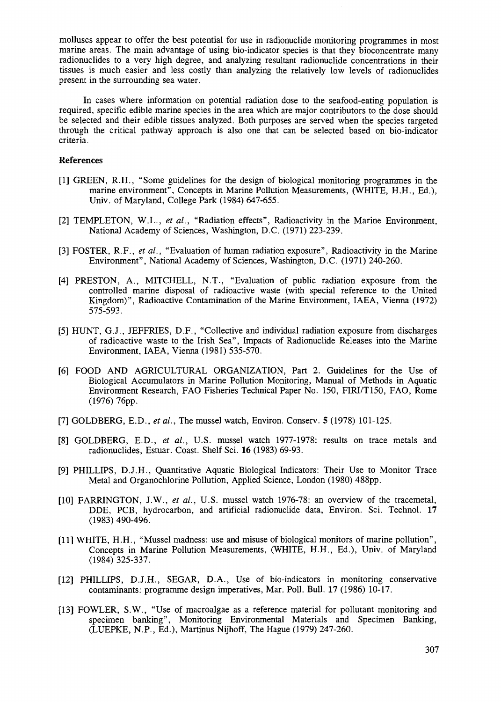molluscs appear to offer the best potential for use in radionuclide monitoring programmes in most marine areas. The main advantage of using bio-indicator species is that they bioconcentrate many radionuclides to a very high degree, and analyzing resultant radionuclide concentrations in their tissues is much easier and less costly than analyzing the relatively low levels of radionuclides present in the surrounding sea water.

In cases where information on potential radiation dose to the seafood-eating population is required, specific edible marine species in the area which are major contributors to the dose should be selected and their edible tissues analyzed. Both purposes are served when the species targeted through the critical pathway approach is also one that can be selected based on bio-indicator criteria.

# References

- [I] GREEN, R.H., "Some guidelines for the design of biological monitoring programmes in the marine environment", Concepts in Marine Pollution Measurements, (WHITE, H.H., Ed.), Univ. of Maryland, College Park (1984) 647-655.
- [2] TEMPLETON, W.L., *et al.,* "Radiation effects", Radioactivity in the Marine Environment, National Academy of Sciences, Washington, D.C. (1971) 223-239.
- [3] FOSTER, R.F., *et al.,* "Evaluation of human radiation exposure", Radioactivity in the Marine Environment", National Academy of Sciences, Washington, D.C. (1971) 240-260.
- [4] PRESTON, A., MITCHELL, N.T., "Evaluation of public radiation exposure from the controlled marine disposal of radioactive waste (with special reference to the United Kingdom)", Radioactive Contamination of the Marine Environment, IAEA, Vienna (1972) 575-593.
- [5] HUNT, G.J., JEFFRIES, D.F., "Collective and individual radiation exposure from discharges of radioactive waste to the Irish Sea", Impacts of Radionuclide Releases into the Marine Environment, IAEA, Vienna (1981) 535-570.
- [6] FOOD AND AGRICULTURAL ORGANIZATION, Part 2. Guidelines for the Use of Biological Accumulators in Marine Pollution Monitoring, Manual of Methods in Aquatic Environment Research, FAO Fisheries Technical Paper No. 150, FIRI/T150, FAO, Rome (1976) 76pp.
- [7] GOLDBERG, E.D., *et al.*, The mussel watch, Environ. Conserv. **5** (1978) 101-125.
- [8] GOLDBERG, E.D., *et al.,* U.S. mussel watch 1977-1978: results on trace metals and radionuclides, Estuar. Coast. Shelf Sci. 16 (1983) 69-93.
- [9] PHILLIPS, D.J.H., Quantitative Aquatic Biological Indicators: Their Use to Monitor Trace Metal and Organochlorine Pollution, Applied Science, London (1980) 488pp.
- [10] FARRINGTON, J.W., *et al.,* U.S. mussel watch 1976-78: an overview of the tracemetal, DDE, PCB, hydrocarbon, and artificial radionuclide data, Environ. Sci. Technol. 17 (1983) 490-496.
- [II] WHITE, H.H., "Mussel madness: use and misuse of biological monitors of marine pollution", Concepts in Marine Pollution Measurements, (WHITE, H.H., Ed.), Univ. of Maryland (1984) 325-337.
- [12] PHILLIPS, D.J.H., SEGAR, D.A., Use of bio-indicators in monitoring conservative contaminants: programme design imperatives, Mar. Poll. Bull. 17 (1986) 10-17.
- [13] FOWLER, S.W., "Use of macroalgae as a reference material for pollutant monitoring and specimen banking", Monitoring Environmental Materials and Specimen Banking, (LUEPKE, N.P., Ed.), Martinus Nijhoff, The Hague (1979) 247-260.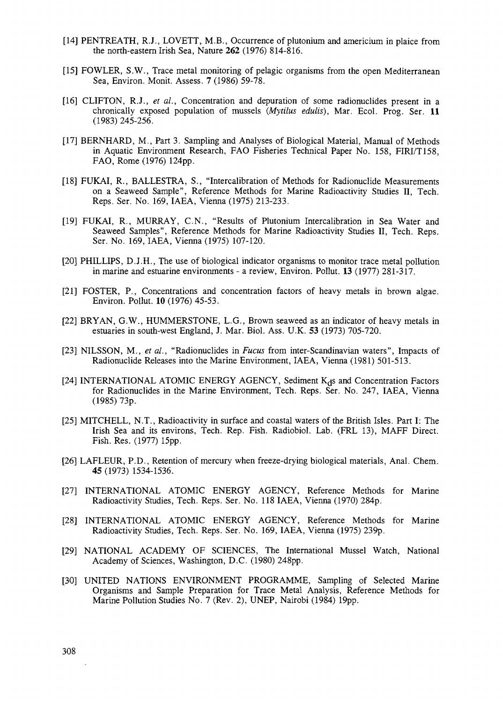- [14] PENTREATH, R.J., LOVETT, M.B., Occurrence of plutonium and americium in plaice from the north-eastern Irish Sea, Nature 262 (1976) 814-816.
- [15] FOWLER, S.W., Trace metal monitoring of pelagic organisms from the open Mediterranean Sea, Environ. Monit. Assess. 7 (1986) 59-78.
- [16] CLIFTON, R.J., et al., Concentration and depuration of some radionuclides present in a chronically exposed population of mussels *{Mytilus edulis),* Mar. Ecol. Prog. Ser. 11 (1983) 245-256.
- [17] BERNHARD, M., Part 3. Sampling and Analyses of Biological Material, Manual of Methods in Aquatic Environment Research, FAO Fisheries Technical Paper No. 158, FIRI/T158, FAO, Rome (1976) 124pp.
- [18] FUKAI, R., BALLESTRA, S., "Intercalibration of Methods for Radionuclide Measurements on a Seaweed Sample", Reference Methods for Marine Radioactivity Studies II, Tech. Reps. Ser. No. 169, IAEA, Vienna (1975) 213-233.
- [19] FUKAI, R., MURRAY, C.N., "Results of Plutonium Intercalibration in Sea Water and Seaweed Samples", Reference Methods for Marine Radioactivity Studies II, Tech. Reps. Ser. No. 169, IAEA, Vienna (1975) 107-120.
- [20] PHILLIPS, D.J.H., The use of biological indicator organisms to monitor trace metal pollution in marine and estuarine environments - a review, Environ. Pollut. 13 (1977) 281-317.
- [21] FOSTER, P., Concentrations and concentration factors of heavy metals in brown algae. Environ. Pollut. 10 (1976) 45-53.
- [22] BRYAN, G.W., HUMMERSTONE, L.G., Brown seaweed as an indicator of heavy metals in estuaries in south-west England, J. Mar. Biol. Ass. U.K. 53 (1973) 705-720.
- [23] NILSSON, M., *et al.,* "Radionuclides in *Fucus* from inter-Scandinavian waters", Impacts of Radionuclide Releases into the Marine Environment, IAEA, Vienna (1981) 501-513.
- [24] INTERNATIONAL ATOMIC ENERGY AGENCY, Sediment  $K_d$ s and Concentration Factors for Radionuclides in the Marine Environment, Tech. Reps. Ser. No. 247, IAEA, Vienna (1985) 73p.
- [25] MITCHELL, N.T., Radioactivity in surface and coastal waters of the British Isles. Part I: The Irish Sea and its environs, Tech. Rep. Fish. Radiobiol. Lab. (FRL 13), MAFF Direct. Fish. Res. (1977) 15pp.
- [26] LAFLEUR, P.D., Retention of mercury when freeze-drying biological materials, Anal. Chem. 45 (1973) 1534-1536.
- [27] INTERNATIONAL ATOMIC ENERGY AGENCY, Reference Methods for Marine Radioactivity Studies, Tech. Reps. Ser. No. 118 IAEA, Vienna (1970) 284p.
- [28] INTERNATIONAL ATOMIC ENERGY AGENCY, Reference Methods for Marine Radioactivity Studies, Tech. Reps. Ser. No. 169, IAEA, Vienna (1975) 239p.
- [29] NATIONAL ACADEMY OF SCIENCES, The International Mussel Watch, National Academy of Sciences, Washington, D.C. (1980) 248pp.
- [30] UNITED NATIONS ENVIRONMENT PROGRAMME, Sampling of Selected Marine Organisms and Sample Preparation for Trace Metal Analysis, Reference Methods for Marine Pollution Studies No. 7 (Rev. 2), UNEP, Nairobi (1984) 19pp.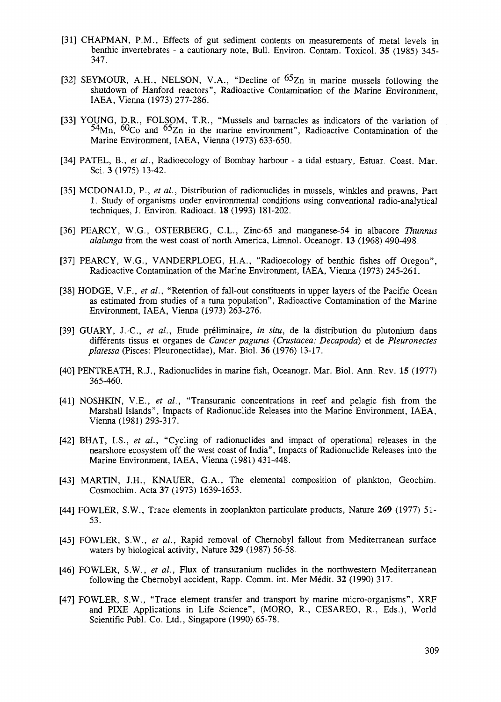- [31] CHAPMAN, P.M., Effects of gut sediment contents on measurements of metal levels in benthic invertebrates - a cautionary note, Bull. Environ. Contam. Toxicol. 35 (1985) 345-347.
- [32] SEYMOUR, A.H., NELSON, V.A., "Decline of <sup>65</sup>Zn in marine mussels following the shutdown of Hanford reactors", Radioactive Contamination of the Marine Environment, IAEA, Vienna (1973) 277-286.
- [33] YOUNG, D.R., FOLSOM, T.R., "Mussels and barnacles as indicators of the variation of <sup>54</sup>Mn, <sup>60</sup>Co and <sup>65</sup>Zn in the marine environment", Radioactive Contamination of the Marine Environment, IAEA, Vienna (1973) 633-650.
- [34] PATEL, B., et al., Radioecology of Bombay harbour a tidal estuary, Estuar. Coast. Mar. Sci. 3 (1975) 13-42.
- [35] MCDONALD, P., et al., Distribution of radionuclides in mussels, winkles and prawns, Part 1. Study of organisms under environmental conditions using conventional radio-analytical techniques, J. Environ. Radioact. 18 (1993) 181-202.
- [36] PEARCY, W.G., OSTERBERG, C.L., Zinc-65 and manganese-54 in albacore *Thunnus alalunga* from the west coast of north America, Limnol. Oceanogr. 13 (1968) 490-498.
- [37] PEARCY, W.G., VANDERPLOEG, H.A., "Radioecology of benthic fishes off Oregon", Radioactive Contamination of the Marine Environment, IAEA, Vienna (1973) 245-261.
- [38] HODGE, V.F., *et al.,* "Retention of fall-out constituents in upper layers of the Pacific Ocean as estimated from studies of a tuna population", Radioactive Contamination of the Marine Environment, IAEA, Vienna (1973) 263-276.
- [39] GUARY, J.-C, *et al.,* Etude preliminaire, *in situ,* de la distribution du plutonium dans differents tissus et organes de *Cancer pagurus (Crustacea: Decapoda)* et de *Pleuronectes platessa* (Pisces: Pleuronectidae), Mar. Biol. **36** (1976) 13-17.
- [40] PENTREATH, R.J., Radionuclides in marine fish, Oceanogr. Mar. Biol. Ann. Rev. 15 (1977) 365-460.
- [41] NOSHKIN, V.E., *et al.,* "Transuranic concentrations in reef and pelagic fish from the Marshall Islands", Impacts of Radionuclide Releases into the Marine Environment, IAEA, Vienna (1981) 293-317.
- [42] BHAT, I.S., *et al.,* "Cycling of radionuclides and impact of operational releases in the nearshore ecosystem off the west coast of India", Impacts of Radionuclide Releases into the Marine Environment, IAEA, Vienna (1981) 431-448.
- [43] MARTIN, J.H., KNAUER, G.A., The elemental composition of plankton, Geochim. Cosmochim. Acta 37 (1973) 1639-1653.
- [44] FOWLER, S.W., Trace elements in zooplankton paniculate products, Nature **269** (1977) 51- 53.
- [45] FOWLER, S.W., *et al.,* Rapid removal of Chernobyl fallout from Mediterranean surface waters by biological activity, Nature **329** (1987) 56-58.
- [46] FOWLER, S.W., *et al.,* Flux of transuranium nuclides in the northwestern Mediterranean following the Chernobyl accident, Rapp. Comm. int. Mer Medit. **32** (1990) 317.
- [47] FOWLER, S.W., "Trace element transfer and transport by marine micro-organisms", XRF and PIXE Applications in Life Science", (MORO, R., CESAREO, R., Eds.), World Scientific Publ. Co. Ltd., Singapore (1990) 65-78.